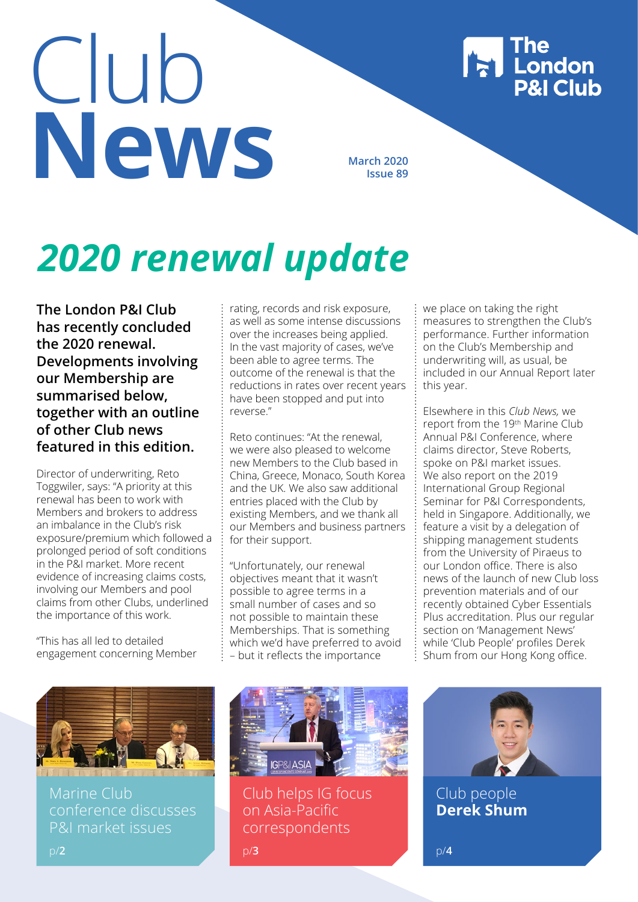# Club **News** March 2020

**Issue 89**

# *2020 renewal update*

**The London P&I Club has recently concluded the 2020 renewal. Developments involving our Membership are summarised below, together with an outline of other Club news featured in this edition.**

Director of underwriting, Reto Toggwiler, says: "A priority at this renewal has been to work with Members and brokers to address an imbalance in the Club's risk exposure/premium which followed a prolonged period of soft conditions in the P&I market. More recent evidence of increasing claims costs, involving our Members and pool claims from other Clubs, underlined the importance of this work.

"This has all led to detailed engagement concerning Member rating, records and risk exposure, as well as some intense discussions over the increases being applied. In the vast majority of cases, we've been able to agree terms. The outcome of the renewal is that the reductions in rates over recent years have been stopped and put into reverse."

Reto continues: "At the renewal, we were also pleased to welcome new Members to the Club based in China, Greece, Monaco, South Korea and the UK. We also saw additional entries placed with the Club by existing Members, and we thank all our Members and business partners for their support.

"Unfortunately, our renewal objectives meant that it wasn't possible to agree terms in a small number of cases and so not possible to maintain these Memberships. That is something which we'd have preferred to avoid – but it reflects the importance

we place on taking the right measures to strengthen the Club's performance. Further information on the Club's Membership and underwriting will, as usual, be included in our Annual Report later this year.

| The<br>| London<br>| P&I Club

Elsewhere in this *Club News,* we report from the 19th Marine Club Annual P&I Conference, where claims director, Steve Roberts, spoke on P&I market issues. We also report on the 2019 International Group Regional Seminar for P&I Correspondents, held in Singapore. Additionally, we feature a visit by a delegation of shipping management students from the University of Piraeus to our London office. There is also news of the launch of new Club loss prevention materials and of our recently obtained Cyber Essentials Plus accreditation. Plus our regular section on 'Management News' while 'Club People' profiles Derek Shum from our Hong Kong office.



Marine Club conference discusses P&I market issues



Club helps IG focus on Asia-Pacific correspondents



Club people **Derek Shum**

p/**2**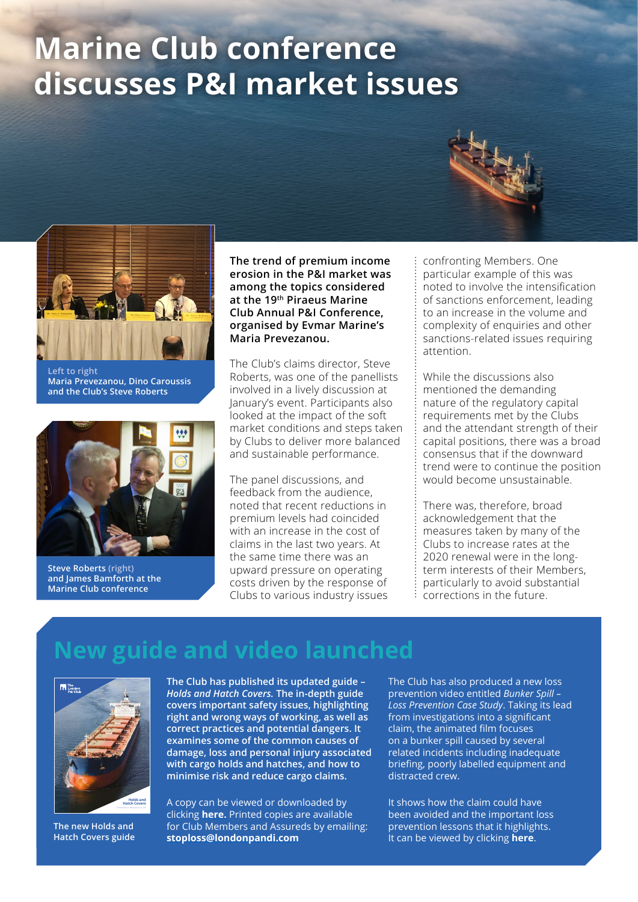# **Marine Club conference discusses P&I market issues**



**Left to right Maria Prevezanou, Dino Caroussis and the Club's Steve Roberts**



**Steve Roberts (right) and James Bamforth at the Marine Club conference** 

**The trend of premium income erosion in the P&I market was among the topics considered at the 19th Piraeus Marine Club Annual P&I Conference, organised by Evmar Marine's Maria Prevezanou.** 

The Club's claims director, Steve Roberts, was one of the panellists involved in a lively discussion at January's event. Participants also looked at the impact of the soft market conditions and steps taken by Clubs to deliver more balanced and sustainable performance.

The panel discussions, and feedback from the audience, noted that recent reductions in premium levels had coincided with an increase in the cost of claims in the last two years. At the same time there was an upward pressure on operating costs driven by the response of Clubs to various industry issues confronting Members. One particular example of this was noted to involve the intensification of sanctions enforcement, leading to an increase in the volume and complexity of enquiries and other sanctions-related issues requiring attention.

While the discussions also mentioned the demanding nature of the regulatory capital requirements met by the Clubs and the attendant strength of their capital positions, there was a broad consensus that if the downward trend were to continue the position would become unsustainable.

There was, therefore, broad acknowledgement that the measures taken by many of the Clubs to increase rates at the 2020 renewal were in the longterm interests of their Members, particularly to avoid substantial corrections in the future.

### **New guide and video launched**



**The new Holds and Hatch Covers guide**

Room 1802 Guardian House E: hongkong@londonpandi.com **The Club has published its updated guide –**  *Holds and Hatch Covers.* **The in-depth guide covers important safety issues, highlighting right and wrong ways of working, as well as correct practices and potential dangers. It examines some of the common causes of damage, loss and personal injury associated with cargo holds and hatches, and how to minimise risk and reduce cargo claims.**

A copy can be viewed or downloaded by clicking **[here.](https://www.londonpandi.com/Media/2577/london-pi-club-holds-hatch-covers-website-version.pdf)** Printed copies are available for Club Members and Assureds by emailing: **[stoploss@londonpandi.com](mailto:stoploss@londonpandi.com)**

The Club has also produced a new loss prevention video entitled *Bunker Spill – Loss Prevention Case Study*. Taking its lead from investigations into a significant claim, the animated film focuses on a bunker spill caused by several related incidents including inadequate briefing, poorly labelled equipment and distracted crew.

It shows how the claim could have been avoided and the important loss prevention lessons that it highlights. It can be viewed by clicking **[here](https://www.londonpandi.com/knowledge/videos-from-the-london-pi-club/)**.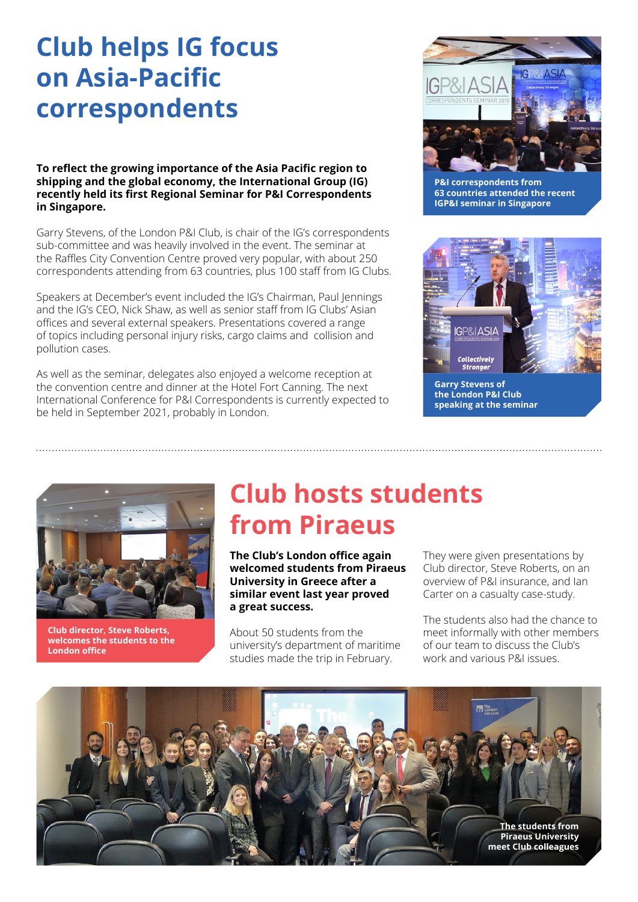## **Club helps IG focus on Asia-Pacific correspondents**

**To reflect the growing importance of the Asia Pacific region to shipping and the global economy, the International Group (IG) recently held its first Regional Seminar for P&I Correspondents in Singapore.**

Garry Stevens, of the London P&I Club, is chair of the IG's correspondents sub-committee and was heavily involved in the event. The seminar at the Raffles City Convention Centre proved very popular, with about 250 correspondents attending from 63 countries, plus 100 staff from IG Clubs.

Speakers at December's event included the IG's Chairman, Paul Jennings and the IG's CEO, Nick Shaw, as well as senior staff from IG Clubs' Asian offices and several external speakers. Presentations covered a range of topics including personal injury risks, cargo claims and collision and pollution cases.

As well as the seminar, delegates also enjoyed a welcome reception at the convention centre and dinner at the Hotel Fort Canning. The next International Conference for P&I Correspondents is currently expected to be held in September 2021, probably in London.



**P&I correspondents from 63 countries attended the recent IGP&I seminar in Singapore**



**Garry Stevens of the London P&I Club speaking at the seminar**



**Club director, Steve Roberts, welcomes the students to the London office**

### **Club hosts students from Piraeus**

**The Club's London office again welcomed students from Piraeus University in Greece after a similar event last year proved a great success.**

About 50 students from the university's department of maritime studies made the trip in February.

They were given presentations by Club director, Steve Roberts, on an overview of P&I insurance, and Ian Carter on a casualty case-study.

The students also had the chance to meet informally with other members of our team to discuss the Club's work and various P&I issues.